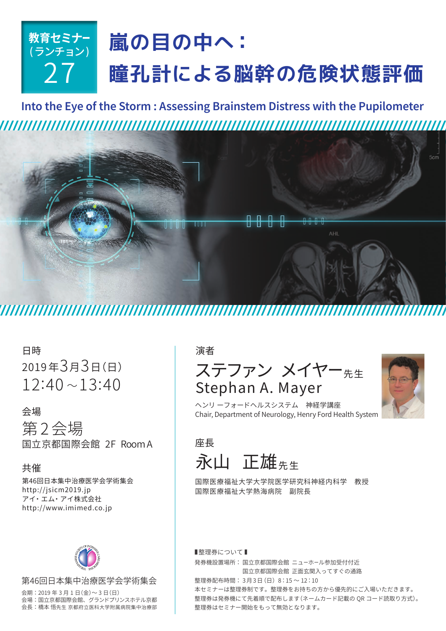# **教育セミナー** (ランチョン) 27 **嵐の目の中へ: 瞳孔計による脳幹の危険状態評価**

**Into the Eye of the Storm : Assessing Brainstem Distress with the Pupilometer**  



日時 2019年3月3日(日)  $12:40 \sim 13:40$ 

## 会場

第 2会場 国立京都国際会館 2F RoomA

## 共催

第46回日本集中治療医学会学術集会 http://jsicm2019.jp アイ・エム・アイ株式会社 http://www.imimed.co.jp



### 第46回日本集中治療医学会学術集会

会期: 2019 年 3 月 1 日(金)~ 3 日(日) 会場: 国立京都国際会館、グランドプリンスホテル京都 会長: 橋本 悟先生 京都府立医科大学附属病院集中治療部

# 演者 ステファン メイヤー 先生 Stephan A. Mayer



Chair, Department of Neurology, Henry Ford Health System ヘンリ ーフォードヘルスシステム 神経学講座

座長 永山 正雄先生

国際医療福祉大学大学院医学研究科神経内科学 教授 国際医療福祉大学熱海病院 副院長

■整理券について■ 発券機設置場所: 国立京都国際会館 ニューホール参加受付付近 国立京都国際会館 正面玄関入ってすぐの通路 整理券配布時間: 3月3日(日) 8:15 ~ 12:10 本セミナーは整理券制です。整理券をお持ちの方から優先的にご入場いただきます。 整理券は発券機にて先着順で配布します(ネームカード記載の QR コード読取り方式)。 整理券はセミナー開始をもって無効となります。